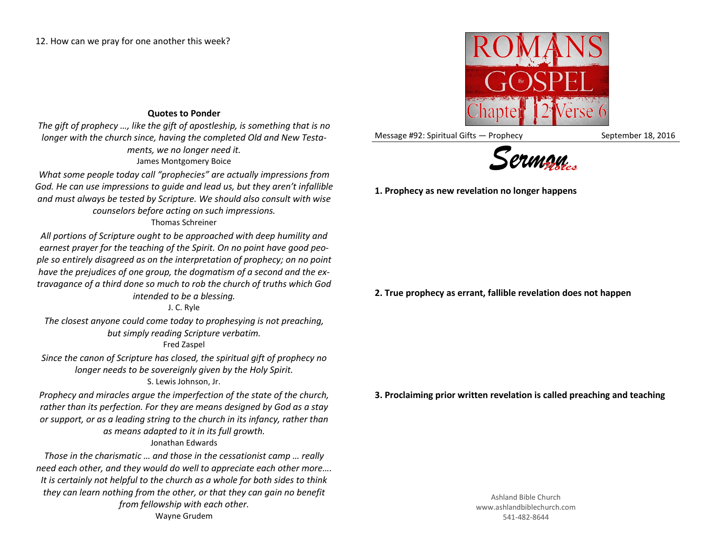## **Quotes to Ponder**

*The gift of prophecy …, like the gift of apostleship, is something that is no longer with the church since, having the completed Old and New Testaments, we no longer need it.* James Montgomery Boice

*What some people today call "prophecies" are actually impressions from God. He can use impressions to guide and lead us, but they aren't infallible and must always be tested by Scripture. We should also consult with wise counselors before acting on such impressions.*

## Thomas Schreiner

*All portions of Scripture ought to be approached with deep humility and earnest prayer for the teaching of the Spirit. On no point have good people so entirely disagreed as on the interpretation of prophecy; on no point have the prejudices of one group, the dogmatism of a second and the extravagance of a third done so much to rob the church of truths which God intended to be a blessing.*

J. C. Ryle

*The closest anyone could come today to prophesying is not preaching, but simply reading Scripture verbatim.*

## Fred Zaspel

*Since the canon of Scripture has closed, the spiritual gift of prophecy no longer needs to be sovereignly given by the Holy Spirit.* S. Lewis Johnson, Jr.

*Prophecy and miracles argue the imperfection of the state of the church, rather than its perfection. For they are means designed by God as a stay or support, or as a leading string to the church in its infancy, rather than as means adapted to it in its full growth.* Jonathan Edwards

*Those in the charismatic … and those in the cessationist camp … really need each other, and they would do well to appreciate each other more…. It is certainly not helpful to the church as a whole for both sides to think they can learn nothing from the other, or that they can gain no benefit from fellowship with each other.* Wayne Grudem



Message #92: Spiritual Gifts — Prophecy September 18, 2016



**1. Prophecy as new revelation no longer happens**

**2. True prophecy as errant, fallible revelation does not happen**

**3. Proclaiming prior written revelation is called preaching and teaching**

Ashland Bible Church www.ashlandbiblechurch.com 541-482-8644